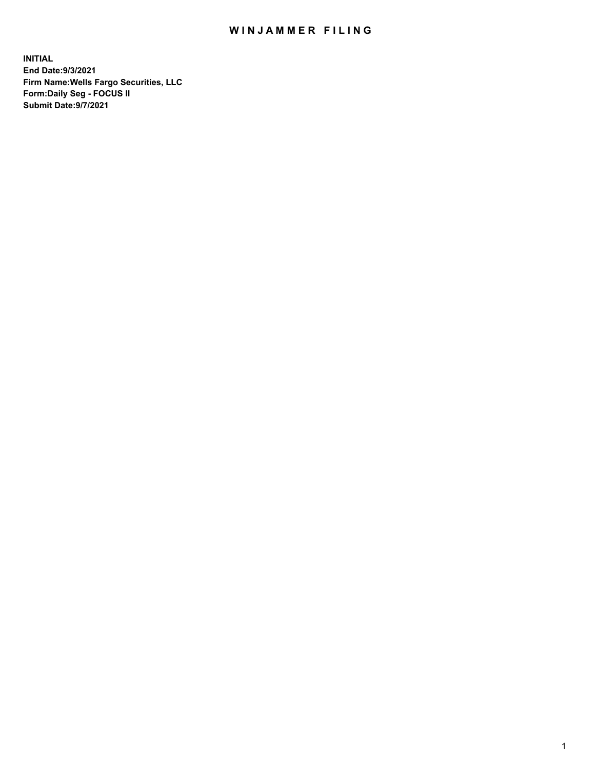## WIN JAMMER FILING

**INITIAL End Date:9/3/2021 Firm Name:Wells Fargo Securities, LLC Form:Daily Seg - FOCUS II Submit Date:9/7/2021**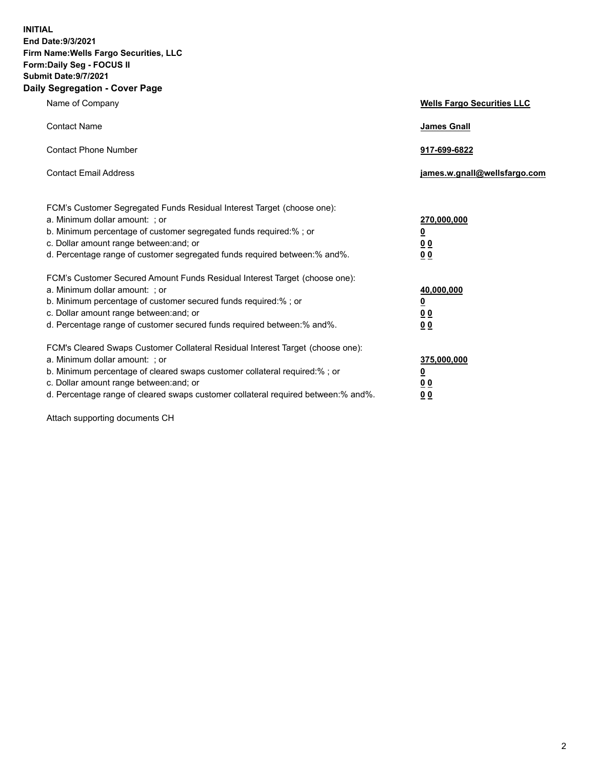**INITIAL End Date:9/3/2021 Firm Name:Wells Fargo Securities, LLC Form:Daily Seg - FOCUS II Submit Date:9/7/2021 Daily Segregation - Cover Page**

| Name of Company                                                                                                                                                                                                                                                                                                               | <b>Wells Fargo Securities LLC</b>                          |
|-------------------------------------------------------------------------------------------------------------------------------------------------------------------------------------------------------------------------------------------------------------------------------------------------------------------------------|------------------------------------------------------------|
| <b>Contact Name</b>                                                                                                                                                                                                                                                                                                           | <b>James Gnall</b>                                         |
| <b>Contact Phone Number</b>                                                                                                                                                                                                                                                                                                   | 917-699-6822                                               |
| <b>Contact Email Address</b>                                                                                                                                                                                                                                                                                                  | james.w.gnall@wellsfargo.com                               |
| FCM's Customer Segregated Funds Residual Interest Target (choose one):<br>a. Minimum dollar amount: ; or<br>b. Minimum percentage of customer segregated funds required:% ; or<br>c. Dollar amount range between: and; or<br>d. Percentage range of customer segregated funds required between:% and%.                        | 270,000,000<br><u>0</u><br>0 <sub>0</sub><br>00            |
| FCM's Customer Secured Amount Funds Residual Interest Target (choose one):<br>a. Minimum dollar amount: ; or<br>b. Minimum percentage of customer secured funds required:%; or<br>c. Dollar amount range between: and; or<br>d. Percentage range of customer secured funds required between: % and %.                         | 40,000,000<br><u>0</u><br>0 <sub>0</sub><br>0 <sub>0</sub> |
| FCM's Cleared Swaps Customer Collateral Residual Interest Target (choose one):<br>a. Minimum dollar amount: ; or<br>b. Minimum percentage of cleared swaps customer collateral required:%; or<br>c. Dollar amount range between: and; or<br>d. Percentage range of cleared swaps customer collateral required between:% and%. | 375,000,000<br><u>0</u><br>00<br>00                        |

Attach supporting documents CH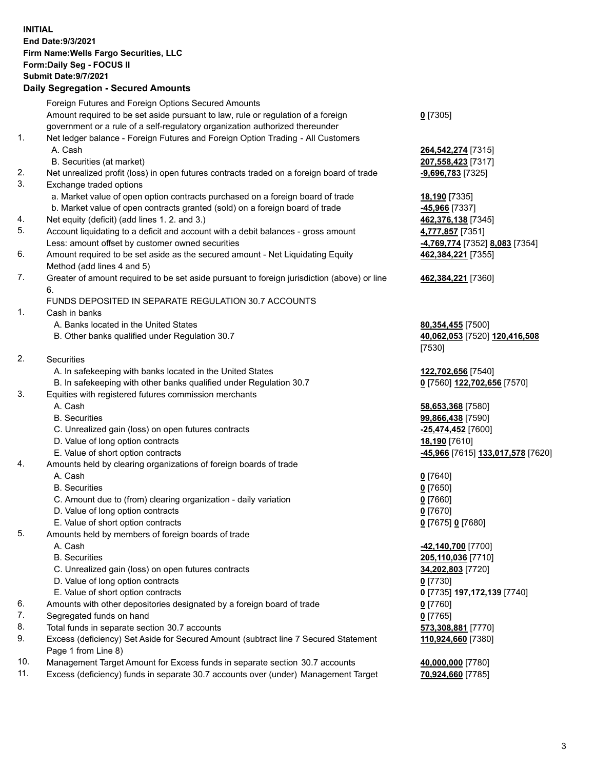**INITIAL End Date:9/3/2021 Firm Name:Wells Fargo Securities, LLC Form:Daily Seg - FOCUS II Submit Date:9/7/2021 Daily Segregation - Secured Amounts**

Foreign Futures and Foreign Options Secured Amounts Amount required to be set aside pursuant to law, rule or regulation of a foreign government or a rule of a self-regulatory organization authorized thereunder **0** [7305] 1. Net ledger balance - Foreign Futures and Foreign Option Trading - All Customers A. Cash **264,542,274** [7315] B. Securities (at market) **207,558,423** [7317] 2. Net unrealized profit (loss) in open futures contracts traded on a foreign board of trade **-9,696,783** [7325] 3. Exchange traded options a. Market value of open option contracts purchased on a foreign board of trade **18,190** [7335] b. Market value of open contracts granted (sold) on a foreign board of trade **-45,966** [7337] 4. Net equity (deficit) (add lines 1. 2. and 3.) **462,376,138** [7345] 5. Account liquidating to a deficit and account with a debit balances - gross amount **4,777,857** [7351] Less: amount offset by customer owned securities **-4,769,774** [7352] **8,083** [7354] 6. Amount required to be set aside as the secured amount - Net Liquidating Equity Method (add lines 4 and 5) **462,384,221** [7355] 7. Greater of amount required to be set aside pursuant to foreign jurisdiction (above) or line 6. **462,384,221** [7360] FUNDS DEPOSITED IN SEPARATE REGULATION 30.7 ACCOUNTS 1. Cash in banks A. Banks located in the United States **80,354,455** [7500] B. Other banks qualified under Regulation 30.7 **40,062,053** [7520] **120,416,508** [7530] 2. Securities A. In safekeeping with banks located in the United States **122,702,656** [7540] B. In safekeeping with other banks qualified under Regulation 30.7 **0** [7560] **122,702,656** [7570] 3. Equities with registered futures commission merchants A. Cash **58,653,368** [7580] B. Securities **99,866,438** [7590] C. Unrealized gain (loss) on open futures contracts **-25,474,452** [7600] D. Value of long option contracts **18,190** [7610] E. Value of short option contracts **-45,966** [7615] **133,017,578** [7620] 4. Amounts held by clearing organizations of foreign boards of trade A. Cash **0** [7640] B. Securities **0** [7650] C. Amount due to (from) clearing organization - daily variation **0** [7660] D. Value of long option contracts **0** [7670] E. Value of short option contracts **0** [7675] **0** [7680] 5. Amounts held by members of foreign boards of trade A. Cash **-42,140,700** [7700] B. Securities **205,110,036** [7710] C. Unrealized gain (loss) on open futures contracts **34,202,803** [7720] D. Value of long option contracts **0** [7730] E. Value of short option contracts **0** [7735] **197,172,139** [7740] 6. Amounts with other depositories designated by a foreign board of trade **0** [7760]

- 7. Segregated funds on hand **0** [7765]
- 8. Total funds in separate section 30.7 accounts **573,308,881** [7770]
- 9. Excess (deficiency) Set Aside for Secured Amount (subtract line 7 Secured Statement Page 1 from Line 8)
- 10. Management Target Amount for Excess funds in separate section 30.7 accounts **40,000,000** [7780]
- 11. Excess (deficiency) funds in separate 30.7 accounts over (under) Management Target **70,924,660** [7785]

**110,924,660** [7380]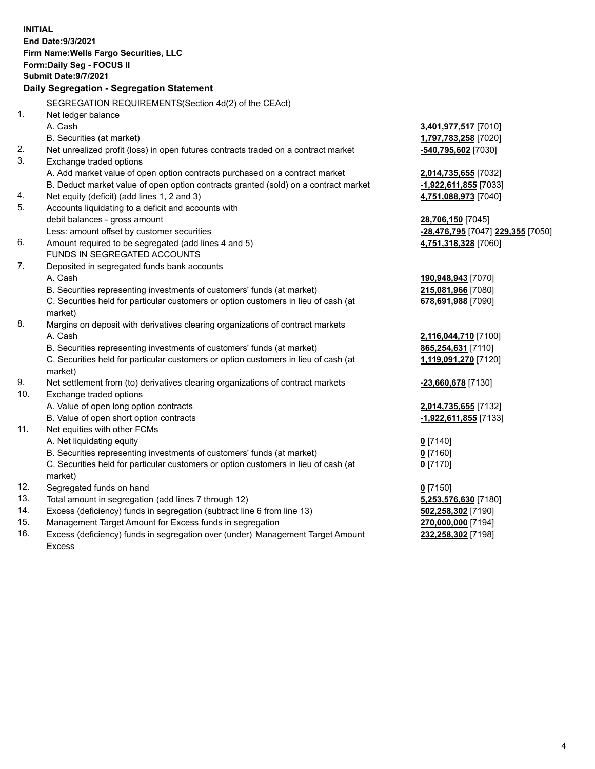|     | <b>INITIAL</b><br>End Date: 9/3/2021<br>Firm Name: Wells Fargo Securities, LLC<br>Form: Daily Seg - FOCUS II<br>Submit Date: 9/7/2021<br>Daily Segregation - Segregation Statement |                                          |
|-----|------------------------------------------------------------------------------------------------------------------------------------------------------------------------------------|------------------------------------------|
|     | SEGREGATION REQUIREMENTS(Section 4d(2) of the CEAct)                                                                                                                               |                                          |
| 1.  | Net ledger balance                                                                                                                                                                 |                                          |
|     | A. Cash                                                                                                                                                                            | 3,401,977,517 [7010]                     |
|     | B. Securities (at market)                                                                                                                                                          | 1,797,783,258 [7020]                     |
| 2.  | Net unrealized profit (loss) in open futures contracts traded on a contract market                                                                                                 | -540,795,602 [7030]                      |
| 3.  | Exchange traded options                                                                                                                                                            |                                          |
|     | A. Add market value of open option contracts purchased on a contract market                                                                                                        | 2,014,735,655 [7032]                     |
|     | B. Deduct market value of open option contracts granted (sold) on a contract market                                                                                                | -1,922,611,855 [7033]                    |
| 4.  | Net equity (deficit) (add lines 1, 2 and 3)                                                                                                                                        | 4,751,088,973 [7040]                     |
| 5.  | Accounts liquidating to a deficit and accounts with                                                                                                                                |                                          |
|     | debit balances - gross amount                                                                                                                                                      | 28,706,150 [7045]                        |
|     | Less: amount offset by customer securities                                                                                                                                         | <u>-28,476,795</u> [7047] 229,355 [7050] |
| 6.  | Amount required to be segregated (add lines 4 and 5)                                                                                                                               | 4,751,318,328 [7060]                     |
|     | FUNDS IN SEGREGATED ACCOUNTS                                                                                                                                                       |                                          |
| 7.  | Deposited in segregated funds bank accounts                                                                                                                                        |                                          |
|     | A. Cash                                                                                                                                                                            | 190,948,943 [7070]                       |
|     | B. Securities representing investments of customers' funds (at market)                                                                                                             | 215,081,966 [7080]                       |
|     | C. Securities held for particular customers or option customers in lieu of cash (at<br>market)                                                                                     | 678,691,988 [7090]                       |
| 8.  | Margins on deposit with derivatives clearing organizations of contract markets                                                                                                     |                                          |
|     | A. Cash                                                                                                                                                                            | 2,116,044,710 [7100]                     |
|     | B. Securities representing investments of customers' funds (at market)                                                                                                             | 865,254,631 [7110]                       |
|     | C. Securities held for particular customers or option customers in lieu of cash (at                                                                                                | 1,119,091,270 [7120]                     |
|     | market)                                                                                                                                                                            |                                          |
| 9.  | Net settlement from (to) derivatives clearing organizations of contract markets                                                                                                    | -23,660,678 [7130]                       |
| 10. | Exchange traded options                                                                                                                                                            |                                          |
|     | A. Value of open long option contracts                                                                                                                                             | 2,014,735,655 [7132]                     |
|     | B. Value of open short option contracts                                                                                                                                            | -1,922,611,855 [7133]                    |
| 11. | Net equities with other FCMs                                                                                                                                                       |                                          |
|     | A. Net liquidating equity                                                                                                                                                          | $0$ [7140]                               |
|     | B. Securities representing investments of customers' funds (at market)                                                                                                             | $0$ [7160]                               |
|     | C. Securities held for particular customers or option customers in lieu of cash (at                                                                                                | $0$ [7170]                               |
|     | market)                                                                                                                                                                            |                                          |
| 12. | Segregated funds on hand                                                                                                                                                           | $0$ [7150]                               |
| 13. | Total amount in segregation (add lines 7 through 12)                                                                                                                               | 5,253,576,630 [7180]                     |
| 14. | Excess (deficiency) funds in segregation (subtract line 6 from line 13)                                                                                                            | 502,258,302 [7190]                       |
| 15. | Management Target Amount for Excess funds in segregation                                                                                                                           | 270,000,000 [7194]                       |
| 16. | Excess (deficiency) funds in segregation over (under) Management Target Amount                                                                                                     | 232,258,302 [7198]                       |
|     | <b>Excess</b>                                                                                                                                                                      |                                          |